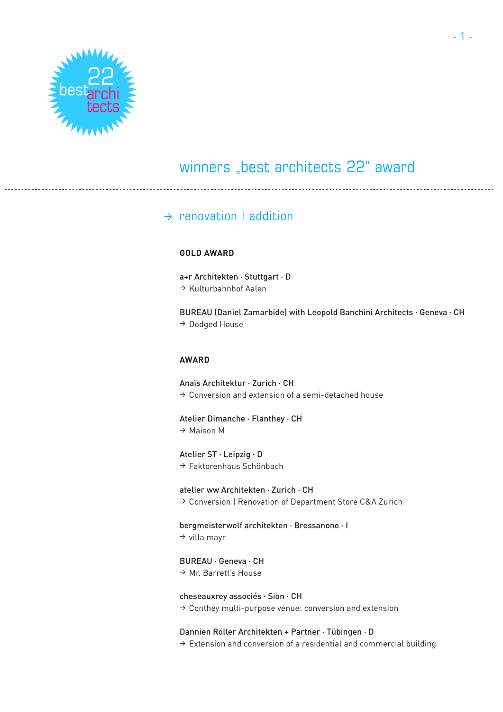

### $\rightarrow$  renovation I addition

#### **GOLD AWARD**

a+r Architekten · Stuttgart · D <sup>&</sup>gt; Kulturbahnhof Aalen

BUREAU (Daniel Zamarbide) with Leopold Banchini Architects · Geneva · CH <sup>&</sup>gt; Dodged House

### **AWARD**

Anaïs Architektur · Zurich · CH  $\rightarrow$  Conversion and extension of a semi-detached house

Atelier Dimanche · Flanthey · CH <sup>&</sup>gt; Maison M

Atelier ST · Leipzig · D  $\rightarrow$  Faktorenhaus Schönbach

atelier ww Architekten · Zurich · CH <sup>&</sup>gt; Conversion | Renovation of Department Store C&A Zurich

bergmeisterwolf architekten · Bressanone · I  $\rightarrow$  villa mayr

BUREAU · Geneva · CH <sup>&</sup>gt; Mr. Barrett's House

#### cheseauxrey associés · Sion · CH

 $\rightarrow$  Conthey multi-purpose venue: conversion and extension

Dannien Roller Architekten + Partner · Tübingen · D

 $\rightarrow$  Extension and conversion of a residential and commercial building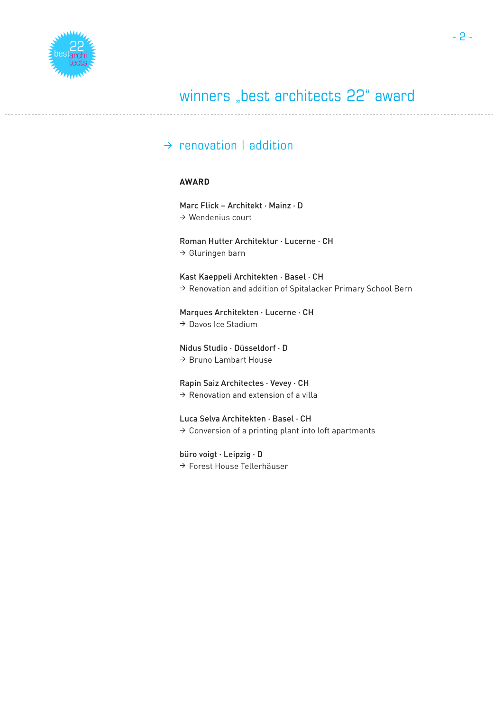

### $\rightarrow$  renovation I addition

### **AWARD**

Marc Flick – Architekt · Mainz · D  $\rightarrow$  Wendenius court

Roman Hutter Architektur · Lucerne · CH  $\rightarrow$  Gluringen barn

Kast Kaeppeli Architekten · Basel · CH → Renovation and addition of Spitalacker Primary School Bern

Marques Architekten · Lucerne · CH

<sup>&</sup>gt; Davos Ice Stadium

Nidus Studio · Düsseldorf · D <sup>&</sup>gt; Bruno Lambart House

Rapin Saiz Architectes · Vevey · CH  $\rightarrow$  Renovation and extension of a villa

Luca Selva Architekten · Basel · CH

 $\rightarrow$  Conversion of a printing plant into loft apartments

büro voigt · Leipzig · D <sup>&</sup>gt; Forest House Tellerhäuser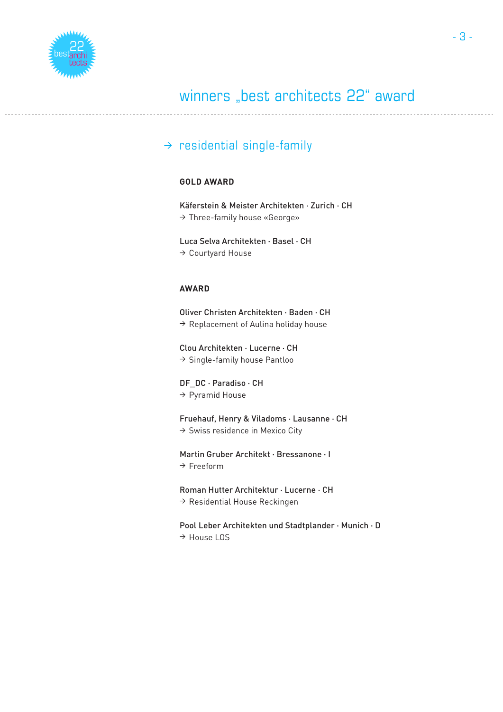

### $\rightarrow$  residential single-family

### **GOLD AWARD**

Käferstein & Meister Architekten · Zurich · CH <sup>&</sup>gt; Three-family house «George»

Luca Selva Architekten · Basel · CH <sup>&</sup>gt; Courtyard House

### **AWARD**

Oliver Christen Architekten · Baden · CH  $\rightarrow$  Replacement of Aulina holiday house

Clou Architekten · Lucerne · CH <sup>&</sup>gt; Single-family house Pantloo

DF DC · Paradiso · CH <sup>&</sup>gt; Pyramid House

Fruehauf, Henry & Viladoms · Lausanne · CH  $\rightarrow$  Swiss residence in Mexico City

Martin Gruber Architekt · Bressanone · I  $\rightarrow$  Freeform

Roman Hutter Architektur · Lucerne · CH  $\rightarrow$  Residential House Reckingen

Pool Leber Architekten und Stadtplander · Munich · D <sup>&</sup>gt; House LOS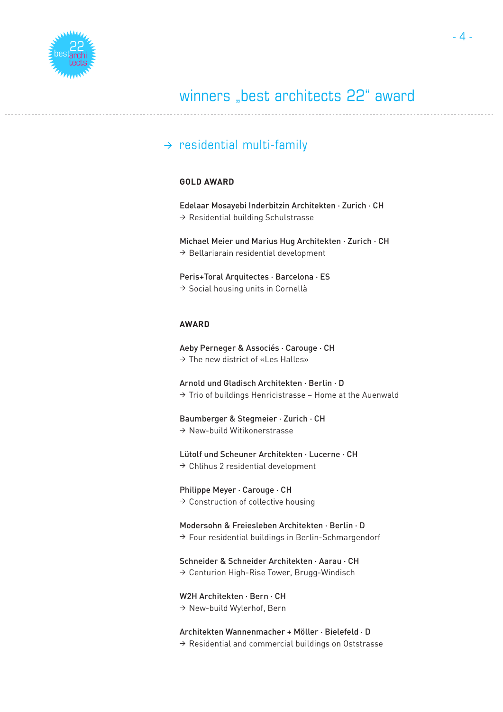

### $\rightarrow$  residential multi-family

### **GOLD AWARD**

Edelaar Mosayebi Inderbitzin Architekten · Zurich · CH  $\rightarrow$  Residential building Schulstrasse

Michael Meier und Marius Hug Architekten · Zurich · CH  $\rightarrow$  Bellariarain residential development

Peris+Toral Arquitectes · Barcelona · ES  $\rightarrow$  Social housing units in Cornellà

### **AWARD**

Aeby Perneger & Associés · Carouge · CH  $\rightarrow$  The new district of «Les Halles»

Arnold und Gladisch Architekten · Berlin · D  $\rightarrow$  Trio of buildings Henricistrasse – Home at the Auenwald

#### Baumberger & Stegmeier · Zurich · CH

 $\rightarrow$  New-build Witikonerstrasse

Lütolf und Scheuner Architekten · Lucerne · CH

 $\rightarrow$  Chlihus 2 residential development

#### Philippe Meyer · Carouge · CH

 $\rightarrow$  Construction of collective housing

### Modersohn & Freiesleben Architekten · Berlin · D

 $\rightarrow$  Four residential buildings in Berlin-Schmargendorf

#### Schneider & Schneider Architekten · Aarau · CH

<sup>&</sup>gt; Centurion High-Rise Tower, Brugg-Windisch

### W2H Architekten · Bern · CH

<sup>&</sup>gt; New-build Wylerhof, Bern

#### Architekten Wannenmacher + Möller · Bielefeld · D

 $\rightarrow$  Residential and commercial buildings on Oststrasse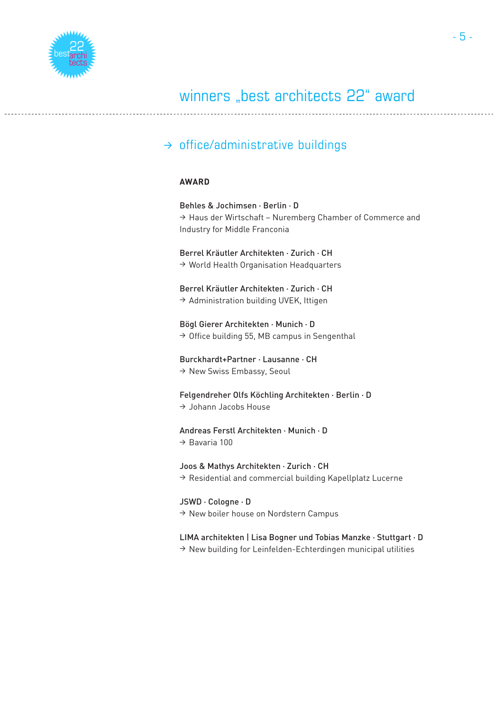

### $\rightarrow$  office/administrative buildings

### **AWARD**

Behles & Jochimsen · Berlin · D <sup>&</sup>gt; Haus der Wirtschaft – Nuremberg Chamber of Commerce and Industry for Middle Franconia Berrel Kräutler Architekten · Zurich · CH  $\rightarrow$  World Health Organisation Headquarters Berrel Kräutler Architekten · Zurich · CH  $\rightarrow$  Administration building UVEK, Ittigen Bögl Gierer Architekten · Munich · D  $\rightarrow$  Office building 55, MB campus in Sengenthal Burckhardt+Partner · Lausanne · CH <sup>&</sup>gt; New Swiss Embassy, Seoul Felgendreher Olfs Köchling Architekten · Berlin · D <sup>&</sup>gt; Johann Jacobs House Andreas Ferstl Architekten · Munich · D  $\rightarrow$  Bavaria 100 Joos & Mathys Architekten · Zurich · CH  $\rightarrow$  Residential and commercial building Kapellplatz Lucerne JSWD · Cologne · D  $\rightarrow$  New boiler house on Nordstern Campus

### LIMA architekten | Lisa Bogner und Tobias Manzke · Stuttgart · D

 $\rightarrow$  New building for Leinfelden-Echterdingen municipal utilities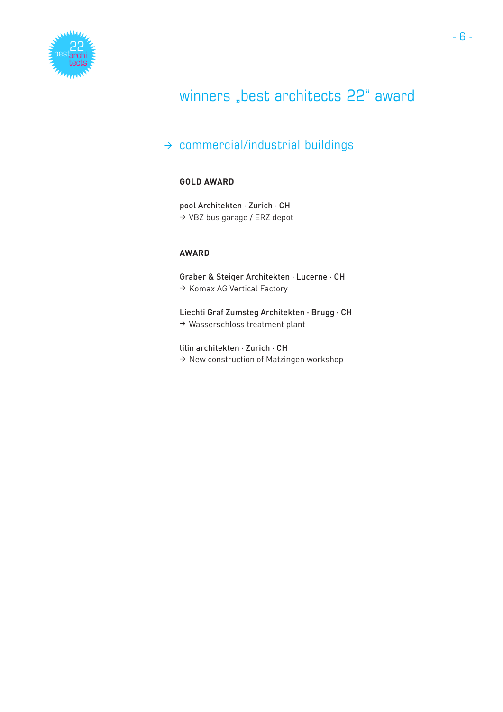

### $\rightarrow$  commercial/industrial buildings

### **GOLD AWARD**

pool Architekten · Zurich · CH <sup>&</sup>gt; VBZ bus garage / ERZ depot

### **AWARD**

Graber & Steiger Architekten · Lucerne · CH <sup>&</sup>gt; Komax AG Vertical Factory

Liechti Graf Zumsteg Architekten · Brugg · CH <sup>&</sup>gt; Wasserschloss treatment plant

lilin architekten · Zurich · CH  $\rightarrow$  New construction of Matzingen workshop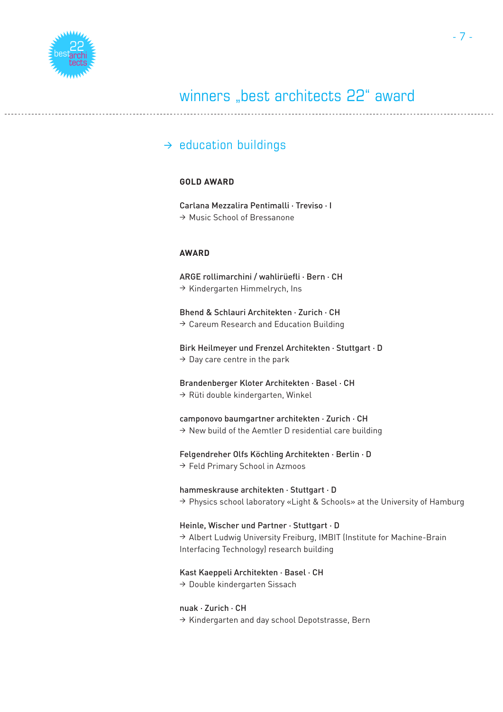

### $\rightarrow$  education buildings

### **GOLD AWARD**

Carlana Mezzalira Pentimalli · Treviso · I <sup>&</sup>gt; Music School of Bressanone

### **AWARD**

ARGE rollimarchini / wahlirüefli · Bern · CH  $\rightarrow$  Kindergarten Himmelrych, Ins

Bhend & Schlauri Architekten · Zurich · CH  $\rightarrow$  Careum Research and Education Building

Birk Heilmeyer und Frenzel Architekten · Stuttgart · D  $\rightarrow$  Day care centre in the park

Brandenberger Kloter Architekten · Basel · CH

 $\rightarrow$  Rüti double kindergarten, Winkel

#### camponovo baumgartner architekten · Zurich · CH

 $\rightarrow$  New build of the Aemtler D residential care building

Felgendreher Olfs Köchling Architekten · Berlin · D

<sup>&</sup>gt; Feld Primary School in Azmoos

hammeskrause architekten · Stuttgart · D

<sup>&</sup>gt; Physics school laboratory «Light & Schools» at the University of Hamburg

Heinle, Wischer und Partner · Stuttgart · D

→ Albert Ludwig University Freiburg, IMBIT (Institute for Machine-Brain Interfacing Technology) research building

### Kast Kaeppeli Architekten · Basel · CH

<sup>&</sup>gt; Double kindergarten Sissach

### nuak · Zurich · CH

 $\rightarrow$  Kindergarten and day school Depotstrasse, Bern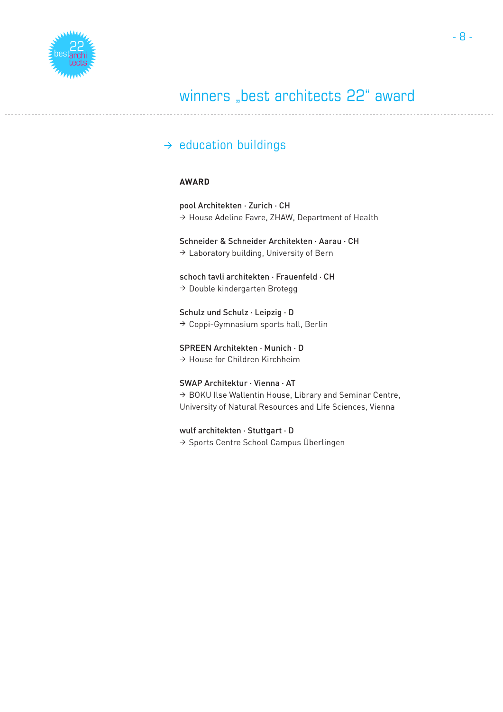

### $\rightarrow$  education buildings

### **AWARD**

pool Architekten · Zurich · CH <sup>&</sup>gt; House Adeline Favre, ZHAW, Department of Health

#### Schneider & Schneider Architekten · Aarau · CH

 $\rightarrow$  Laboratory building, University of Bern

schoch tavli architekten · Frauenfeld · CH  $\rightarrow$  Double kindergarten Brotegg

### Schulz und Schulz · Leipzig · D

 $\rightarrow$  Coppi-Gymnasium sports hall, Berlin

### SPREEN Architekten · Munich · D

 $\rightarrow$  House for Children Kirchheim

### SWAP Architektur · Vienna · AT

→ BOKU Ilse Wallentin House, Library and Seminar Centre, University of Natural Resources and Life Sciences, Vienna

### wulf architekten · Stuttgart · D

> Sports Centre School Campus Überlingen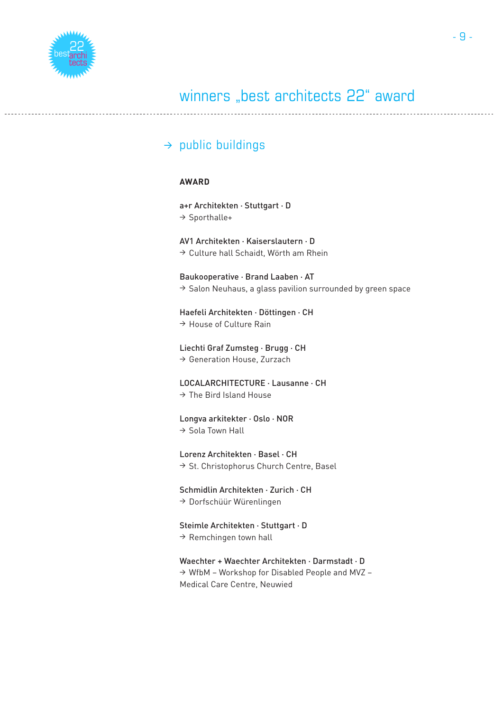

### $\rightarrow$  public buildings

### **AWARD**

a+r Architekten · Stuttgart · D <sup>&</sup>gt; Sporthalle+ AV1 Architekten · Kaiserslautern · D  $\rightarrow$  Culture hall Schaidt, Wörth am Rhein Baukooperative · Brand Laaben · AT  $\rightarrow$  Salon Neuhaus, a glass pavilion surrounded by green space Haefeli Architekten · Döttingen · CH  $\rightarrow$  House of Culture Rain Liechti Graf Zumsteg · Brugg · CH <sup>&</sup>gt; Generation House, Zurzach LOCALARCHITECTURE · Lausanne · CH  $\rightarrow$  The Bird Island House Longva arkitekter · Oslo · NOR <sup>&</sup>gt; Sola Town Hall Lorenz Architekten · Basel · CH <sup>&</sup>gt; St. Christophorus Church Centre, Basel Schmidlin Architekten · Zurich · CH  $\rightarrow$  Dorfschüür Würenlingen

Steimle Architekten · Stuttgart · D  $\rightarrow$  Remchingen town hall

Waechter + Waechter Architekten · Darmstadt · D  $\rightarrow$  WfbM – Workshop for Disabled People and MVZ – Medical Care Centre, Neuwied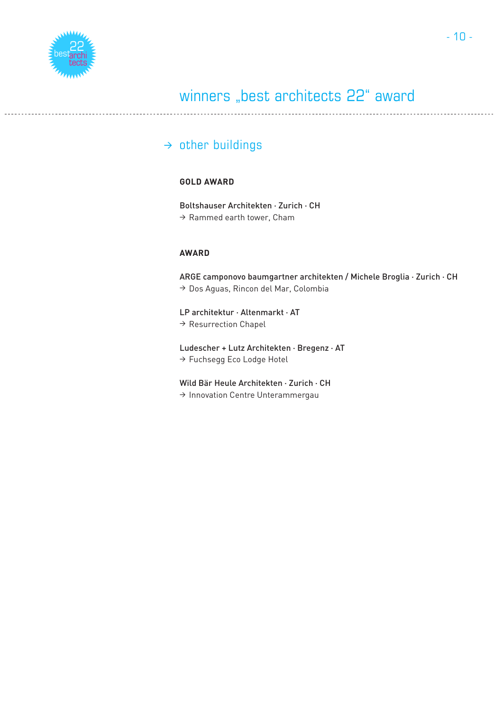

### $\rightarrow$  other buildings

### **GOLD AWARD**

Boltshauser Architekten · Zurich · CH  $\rightarrow$  Rammed earth tower, Cham

### **AWARD**

ARGE camponovo baumgartner architekten / Michele Broglia · Zurich · CH <sup>&</sup>gt; Dos Aguas, Rincon del Mar, Colombia

LP architektur · Altenmarkt · AT → Resurrection Chapel

Ludescher + Lutz Architekten · Bregenz · AT <sup>&</sup>gt; Fuchsegg Eco Lodge Hotel

Wild Bär Heule Architekten · Zurich · CH <sup>&</sup>gt; Innovation Centre Unterammergau